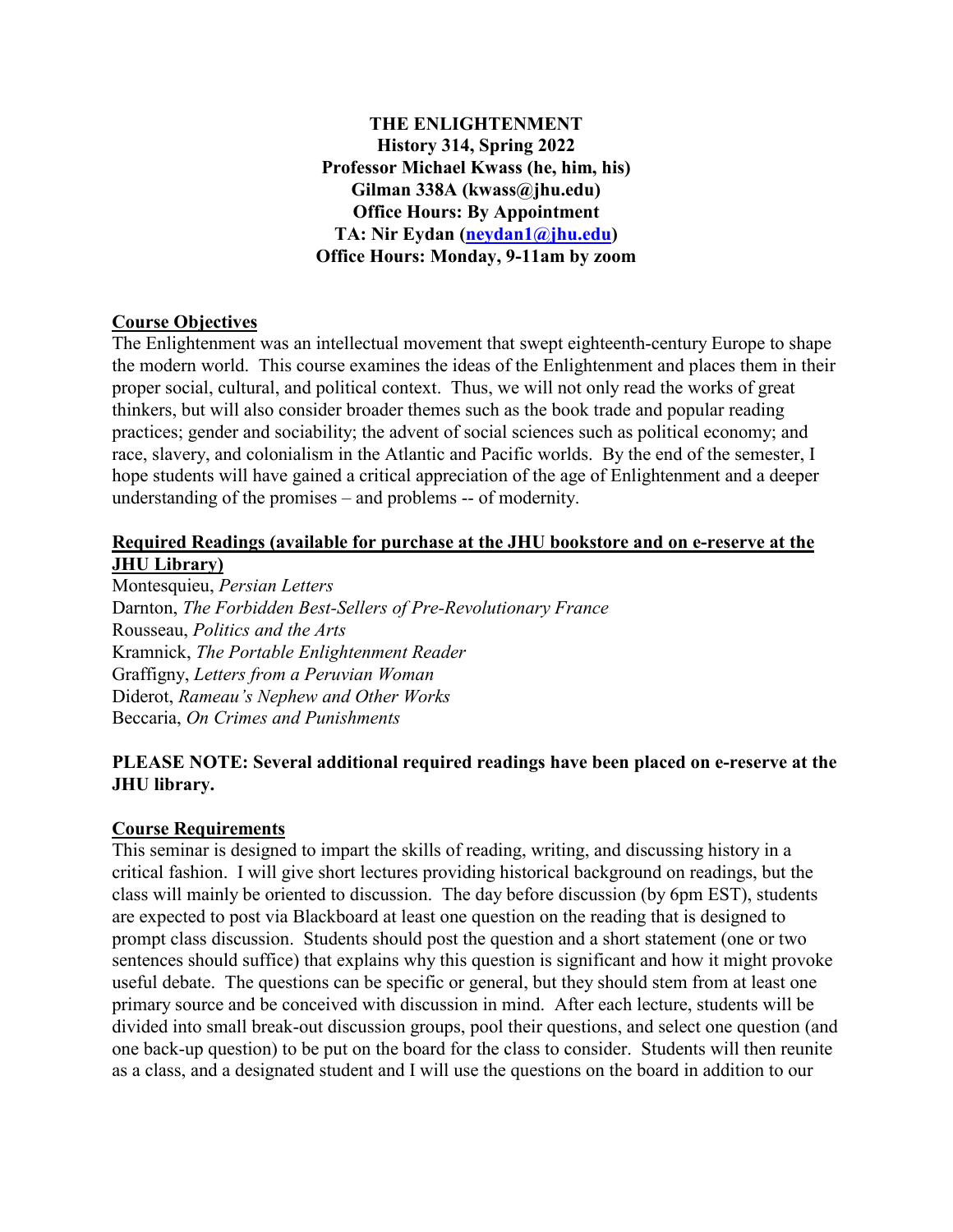**THE ENLIGHTENMENT History 314, Spring 2022 Professor Michael Kwass (he, him, his) Gilman 338A (kwass@jhu.edu) Office Hours: By Appointment TA: Nir Eydan [\(neydan1@jhu.edu\)](mailto:neydan1@jhu.edu) Office Hours: Monday, 9-11am by zoom**

# **Course Objectives**

The Enlightenment was an intellectual movement that swept eighteenth-century Europe to shape the modern world. This course examines the ideas of the Enlightenment and places them in their proper social, cultural, and political context. Thus, we will not only read the works of great thinkers, but will also consider broader themes such as the book trade and popular reading practices; gender and sociability; the advent of social sciences such as political economy; and race, slavery, and colonialism in the Atlantic and Pacific worlds. By the end of the semester, I hope students will have gained a critical appreciation of the age of Enlightenment and a deeper understanding of the promises – and problems -- of modernity.

### **Required Readings (available for purchase at the JHU bookstore and on e-reserve at the JHU Library)**

Montesquieu, *Persian Letters* Darnton, *The Forbidden Best-Sellers of Pre-Revolutionary France* Rousseau, *Politics and the Arts* Kramnick, *The Portable Enlightenment Reader* Graffigny, *Letters from a Peruvian Woman* Diderot, *Rameau's Nephew and Other Works* Beccaria, *On Crimes and Punishments*

# **PLEASE NOTE: Several additional required readings have been placed on e-reserve at the JHU library.**

### **Course Requirements**

This seminar is designed to impart the skills of reading, writing, and discussing history in a critical fashion. I will give short lectures providing historical background on readings, but the class will mainly be oriented to discussion. The day before discussion (by 6pm EST), students are expected to post via Blackboard at least one question on the reading that is designed to prompt class discussion. Students should post the question and a short statement (one or two sentences should suffice) that explains why this question is significant and how it might provoke useful debate. The questions can be specific or general, but they should stem from at least one primary source and be conceived with discussion in mind. After each lecture, students will be divided into small break-out discussion groups, pool their questions, and select one question (and one back-up question) to be put on the board for the class to consider. Students will then reunite as a class, and a designated student and I will use the questions on the board in addition to our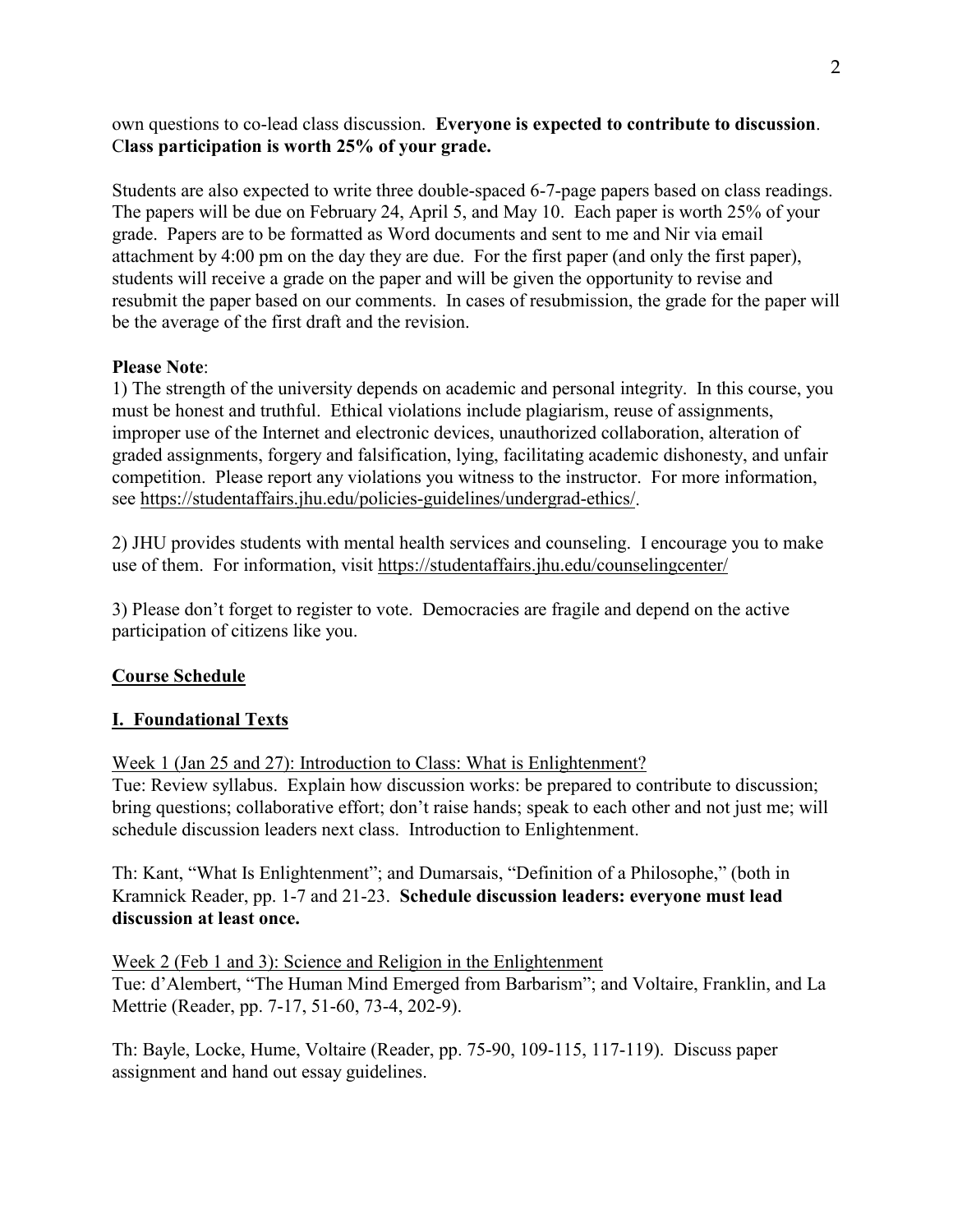own questions to co-lead class discussion. **Everyone is expected to contribute to discussion**. C**lass participation is worth 25% of your grade.**

Students are also expected to write three double-spaced 6-7-page papers based on class readings. The papers will be due on February 24, April 5, and May 10. Each paper is worth 25% of your grade. Papers are to be formatted as Word documents and sent to me and Nir via email attachment by 4:00 pm on the day they are due. For the first paper (and only the first paper), students will receive a grade on the paper and will be given the opportunity to revise and resubmit the paper based on our comments. In cases of resubmission, the grade for the paper will be the average of the first draft and the revision.

## **Please Note**:

1) The strength of the university depends on academic and personal integrity. In this course, you must be honest and truthful. Ethical violations include plagiarism, reuse of assignments, improper use of the Internet and electronic devices, unauthorized collaboration, alteration of graded assignments, forgery and falsification, lying, facilitating academic dishonesty, and unfair competition. Please report any violations you witness to the instructor. For more information, see [https://studentaffairs.jhu.edu/policies-guidelines/undergrad-ethics/.](https://studentaffairs.jhu.edu/policies-guidelines/undergrad-ethics/)

2) JHU provides students with mental health services and counseling. I encourage you to make use of them. For information, visit<https://studentaffairs.jhu.edu/counselingcenter/>

3) Please don't forget to register to vote. Democracies are fragile and depend on the active participation of citizens like you.

# **Course Schedule**

# **I. Foundational Texts**

Week 1 (Jan 25 and 27): Introduction to Class: What is Enlightenment?

Tue: Review syllabus. Explain how discussion works: be prepared to contribute to discussion; bring questions; collaborative effort; don't raise hands; speak to each other and not just me; will schedule discussion leaders next class. Introduction to Enlightenment.

Th: Kant, "What Is Enlightenment"; and Dumarsais, "Definition of a Philosophe," (both in Kramnick Reader, pp. 1-7 and 21-23. **Schedule discussion leaders: everyone must lead discussion at least once.**

Week 2 (Feb 1 and 3): Science and Religion in the Enlightenment Tue: d'Alembert, "The Human Mind Emerged from Barbarism"; and Voltaire, Franklin, and La Mettrie (Reader, pp. 7-17, 51-60, 73-4, 202-9).

Th: Bayle, Locke, Hume, Voltaire (Reader, pp. 75-90, 109-115, 117-119). Discuss paper assignment and hand out essay guidelines.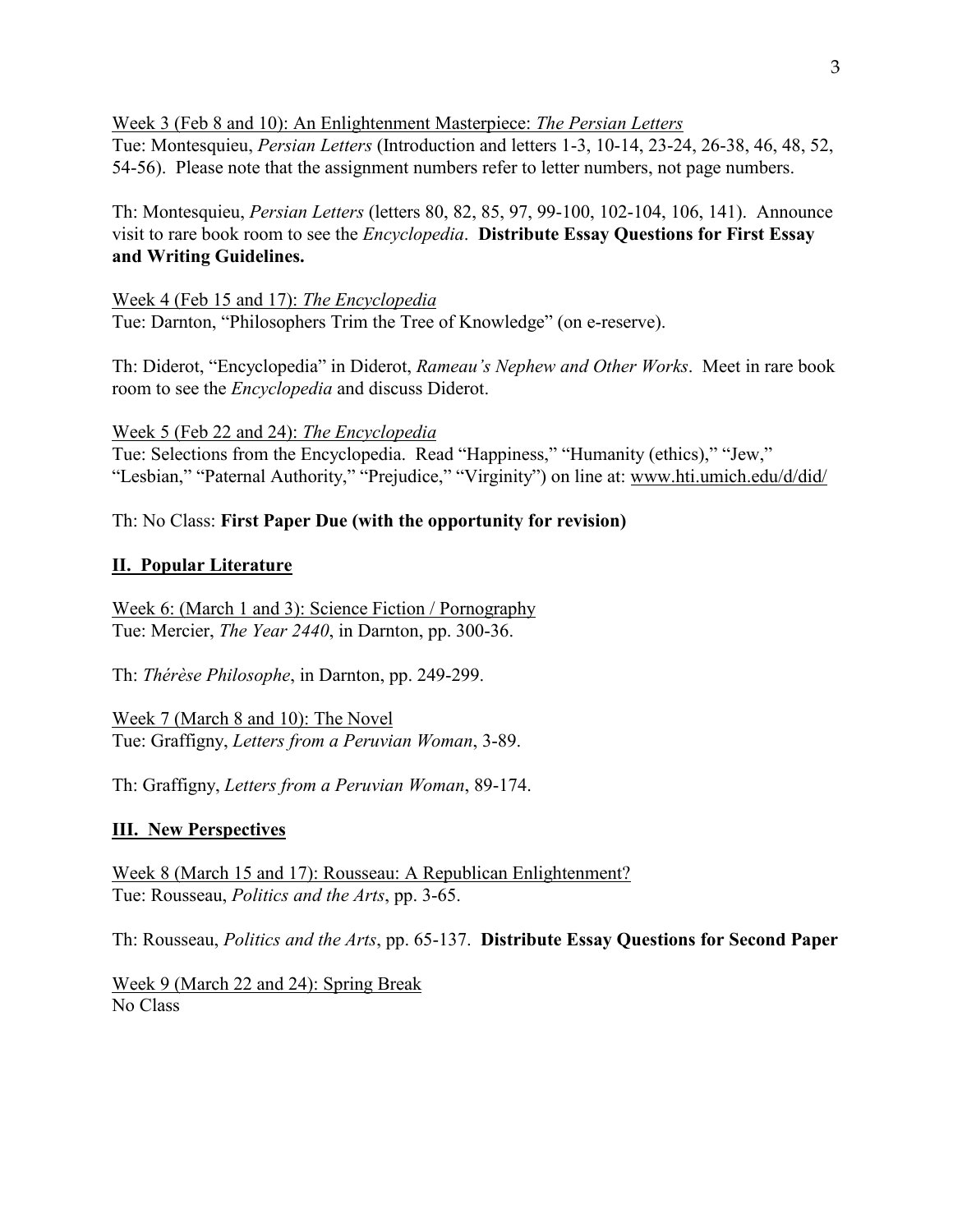Week 3 (Feb 8 and 10): An Enlightenment Masterpiece: *The Persian Letters* Tue: Montesquieu, *Persian Letters* (Introduction and letters 1-3, 10-14, 23-24, 26-38, 46, 48, 52,

54-56). Please note that the assignment numbers refer to letter numbers, not page numbers.

Th: Montesquieu, *Persian Letters* (letters 80, 82, 85, 97, 99-100, 102-104, 106, 141). Announce visit to rare book room to see the *Encyclopedia*. **Distribute Essay Questions for First Essay and Writing Guidelines.**

Week 4 (Feb 15 and 17): *The Encyclopedia* Tue: Darnton, "Philosophers Trim the Tree of Knowledge" (on e-reserve).

Th: Diderot, "Encyclopedia" in Diderot, *Rameau's Nephew and Other Works*. Meet in rare book room to see the *Encyclopedia* and discuss Diderot.

## Week 5 (Feb 22 and 24): *The Encyclopedia*

Tue: Selections from the Encyclopedia. Read "Happiness," "Humanity (ethics)," "Jew," "Lesbian," "Paternal Authority," "Prejudice," "Virginity") on line at: [www.hti.umich.edu/d/did/](http://www.hti.umich.edu/d/did/)

# Th: No Class: **First Paper Due (with the opportunity for revision)**

### **II. Popular Literature**

Week 6: (March 1 and 3): Science Fiction / Pornography Tue: Mercier, *The Year 2440*, in Darnton, pp. 300-36.

Th: *Thérèse Philosophe*, in Darnton, pp. 249-299.

Week 7 (March 8 and 10): The Novel Tue: Graffigny, *Letters from a Peruvian Woman*, 3-89.

Th: Graffigny, *Letters from a Peruvian Woman*, 89-174.

### **III. New Perspectives**

Week 8 (March 15 and 17): Rousseau: A Republican Enlightenment? Tue: Rousseau, *Politics and the Arts*, pp. 3-65.

Th: Rousseau, *Politics and the Arts*, pp. 65-137. **Distribute Essay Questions for Second Paper**

Week 9 (March 22 and 24): Spring Break No Class